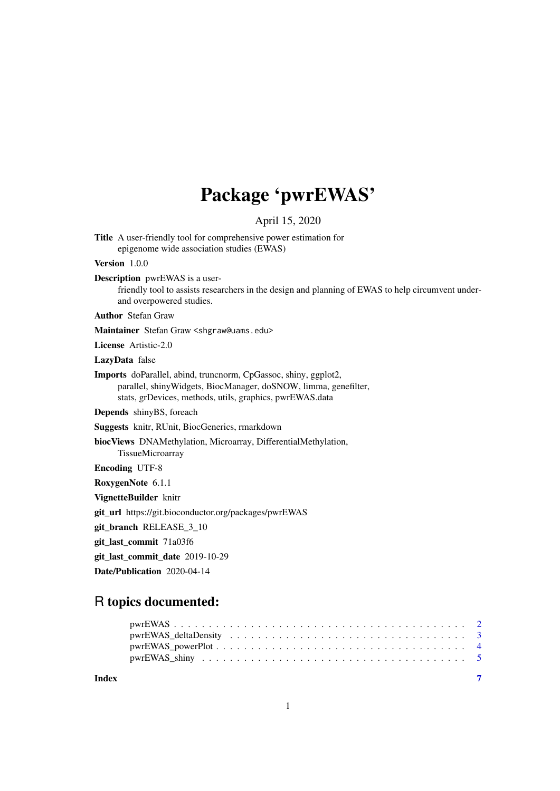## Package 'pwrEWAS'

April 15, 2020

Title A user-friendly tool for comprehensive power estimation for epigenome wide association studies (EWAS)

Version 1.0.0

Description pwrEWAS is a user-

friendly tool to assists researchers in the design and planning of EWAS to help circumvent underand overpowered studies.

Author Stefan Graw

Maintainer Stefan Graw <shgraw@uams.edu>

License Artistic-2.0

LazyData false

Imports doParallel, abind, truncnorm, CpGassoc, shiny, ggplot2, parallel, shinyWidgets, BiocManager, doSNOW, limma, genefilter, stats, grDevices, methods, utils, graphics, pwrEWAS.data

Depends shinyBS, foreach

Suggests knitr, RUnit, BiocGenerics, rmarkdown

biocViews DNAMethylation, Microarray, DifferentialMethylation,

TissueMicroarray

Encoding UTF-8

RoxygenNote 6.1.1

VignetteBuilder knitr

git\_url https://git.bioconductor.org/packages/pwrEWAS

git\_branch RELEASE\_3\_10

git\_last\_commit 71a03f6

git\_last\_commit\_date 2019-10-29

Date/Publication 2020-04-14

#### R topics documented:

| $pwrEWAS_powerPlot \dots \dots \dots \dots \dots \dots \dots \dots \dots \dots \dots \dots \dots \dots \dots$ |  |
|---------------------------------------------------------------------------------------------------------------|--|
|                                                                                                               |  |
|                                                                                                               |  |

**Index** [7](#page-6-0)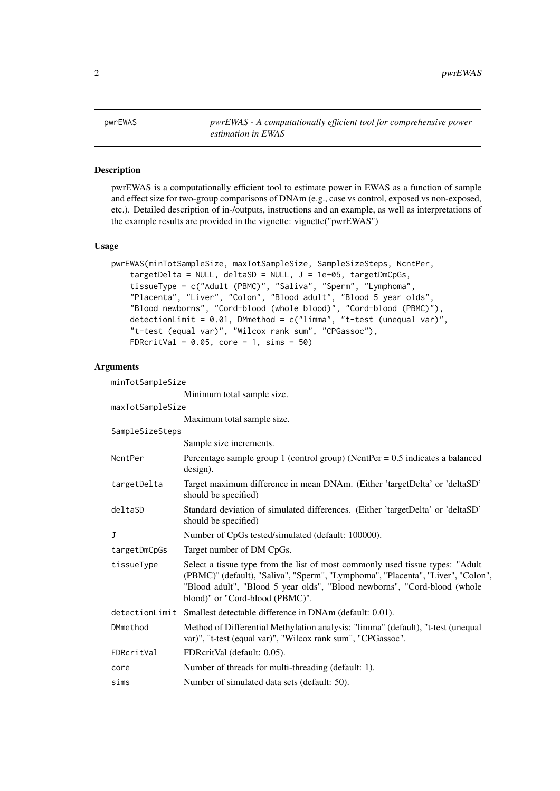#### <span id="page-1-0"></span>Description

pwrEWAS is a computationally efficient tool to estimate power in EWAS as a function of sample and effect size for two-group comparisons of DNAm (e.g., case vs control, exposed vs non-exposed, etc.). Detailed description of in-/outputs, instructions and an example, as well as interpretations of the example results are provided in the vignette: vignette("pwrEWAS")

#### Usage

```
pwrEWAS(minTotSampleSize, maxTotSampleSize, SampleSizeSteps, NcntPer,
    targetDelta = NULL, deltaSD = NULL, J = 1e+05, targetDmCpGs,
    tissueType = c("Adult (PBMC)", "Saliva", "Sperm", "Lymphoma",
    "Placenta", "Liver", "Colon", "Blood adult", "Blood 5 year olds",
    "Blood newborns", "Cord-blood (whole blood)", "Cord-blood (PBMC)"),
    detectionLimit = 0.01, DMmethod = c("limma", "t-test (unequal var)",
    "t-test (equal var)", "Wilcox rank sum", "CPGassoc"),
    FDRcritVal = 0.05, core = 1, sims = 50)
```
#### Arguments

| minTotSampleSize |                                                                                                                                                                                                                                                                                  |  |
|------------------|----------------------------------------------------------------------------------------------------------------------------------------------------------------------------------------------------------------------------------------------------------------------------------|--|
|                  | Minimum total sample size.                                                                                                                                                                                                                                                       |  |
| maxTotSampleSize |                                                                                                                                                                                                                                                                                  |  |
|                  | Maximum total sample size.                                                                                                                                                                                                                                                       |  |
| SampleSizeSteps  |                                                                                                                                                                                                                                                                                  |  |
|                  | Sample size increments.                                                                                                                                                                                                                                                          |  |
| NcntPer          | Percentage sample group 1 (control group) (NcntPer = $0.5$ indicates a balanced<br>$design)$ .                                                                                                                                                                                   |  |
| targetDelta      | Target maximum difference in mean DNAm. (Either 'targetDelta' or 'deltaSD'<br>should be specified)                                                                                                                                                                               |  |
| deltaSD          | Standard deviation of simulated differences. (Either 'targetDelta' or 'deltaSD'<br>should be specified)                                                                                                                                                                          |  |
| $\mathbf{J}$     | Number of CpGs tested/simulated (default: 100000).                                                                                                                                                                                                                               |  |
| targetDmCpGs     | Target number of DM CpGs.                                                                                                                                                                                                                                                        |  |
| tissueType       | Select a tissue type from the list of most commonly used tissue types: "Adult"<br>(PBMC)" (default), "Saliva", "Sperm", "Lymphoma", "Placenta", "Liver", "Colon",<br>"Blood adult", "Blood 5 year olds", "Blood newborns", "Cord-blood (whole<br>blood)" or "Cord-blood (PBMC)". |  |
| detectionLimit   | Smallest detectable difference in DNAm (default: 0.01).                                                                                                                                                                                                                          |  |
| DMmethod         | Method of Differential Methylation analysis: "limma" (default), "t-test (unequal<br>var)", "t-test (equal var)", "Wilcox rank sum", "CPGassoc".                                                                                                                                  |  |
| FDRcritVal       | FDRcritVal (default: 0.05).                                                                                                                                                                                                                                                      |  |
| core             | Number of threads for multi-threading (default: 1).                                                                                                                                                                                                                              |  |
| sims             | Number of simulated data sets (default: 50).                                                                                                                                                                                                                                     |  |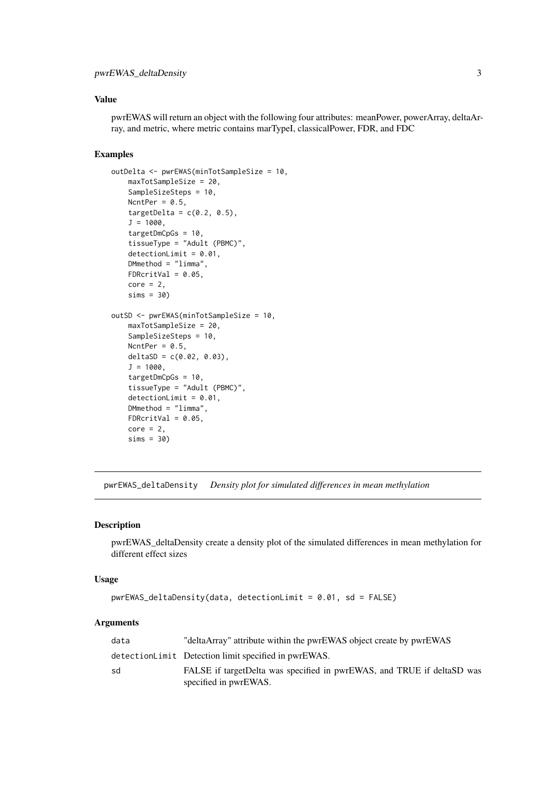#### <span id="page-2-0"></span>pwrEWAS\_deltaDensity 3

#### Value

pwrEWAS will return an object with the following four attributes: meanPower, powerArray, deltaArray, and metric, where metric contains marTypeI, classicalPower, FDR, and FDC

#### Examples

```
outDelta <- pwrEWAS(minTotSampleSize = 10,
    maxTotSampleSize = 20,
    SampleSizeSteps = 10,
   NcntPer = 0.5,
   targetDelta = c(0.2, 0.5),
   J = 1000,
   targetDmCpGs = 10,
    tissueType = "Adult (PBMC)",
    detectionLimit = 0.01,DMmethod = "limma",
    FDRcritVal = 0.05,
    core = 2sims = 30outSD <- pwrEWAS(minTotSampleSize = 10,
   maxTotSampleSize = 20,
    SampleSizeSteps = 10,
   NcntPer = 0.5,
   deltaSD = c(0.02, 0.03),
   J = 1000.
    targetDmCpGs = 10,
    tissueType = "Adult (PBMC)",
    detectionLimit = 0.01,DMmethod = "limma",
   FDRcritVal = 0.05,
    core = 2,sims = 30
```
pwrEWAS\_deltaDensity *Density plot for simulated differences in mean methylation*

#### Description

pwrEWAS\_deltaDensity create a density plot of the simulated differences in mean methylation for different effect sizes

#### Usage

```
pwrEWAS_deltaDensity(data, detectionLimit = 0.01, sd = FALSE)
```
#### Arguments

| data | "deltaArray" attribute within the pwrEWAS object create by pwrEWAS                               |
|------|--------------------------------------------------------------------------------------------------|
|      | detectionLimit Detection limit specified in pwrEWAS.                                             |
| sd   | FALSE if target Delta was specified in pwrEWAS, and TRUE if deltaSD was<br>specified in pwrEWAS. |
|      |                                                                                                  |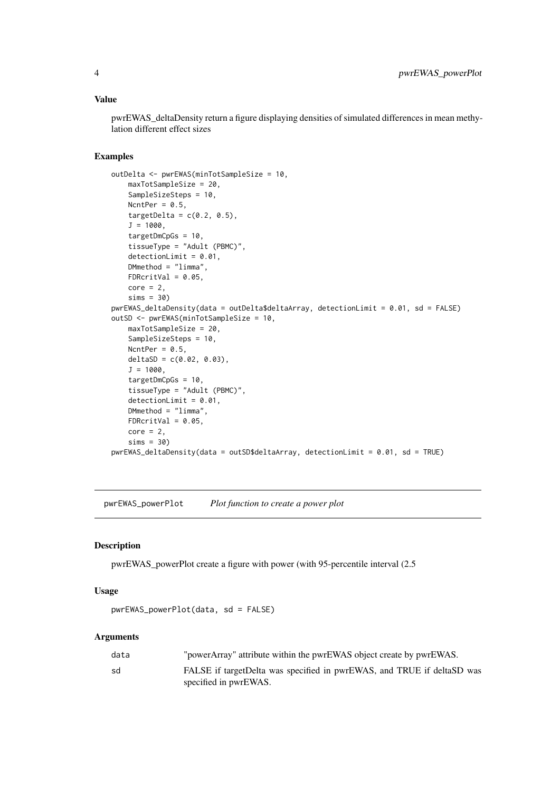#### <span id="page-3-0"></span>Value

pwrEWAS\_deltaDensity return a figure displaying densities of simulated differences in mean methylation different effect sizes

#### Examples

```
outDelta <- pwrEWAS(minTotSampleSize = 10,
    maxTotSampleSize = 20,
    SampleSizeSteps = 10,
   NcntPer = 0.5,
    targetDelta = c(0.2, 0.5),
   J = 1000,
    targetDmCpGs = 10,
    tissueType = "Adult (PBMC)",
    detectionLimit = 0.01,DMmethod = "limma",
    FDRcritVal = 0.05,
    core = 2,
    sims = 30pwrEWAS_deltaDensity(data = outDelta$deltaArray, detectionLimit = 0.01, sd = FALSE)
outSD <- pwrEWAS(minTotSampleSize = 10,
   maxTotSampleSize = 20,
    SampleSizeSteps = 10,
   NcntPer = 0.5,
   deltaSD = c(0.02, 0.03),
   J = 1000.
   targetDmCpGs = 10,
    tissueType = "Adult (PBMC)",
    detectionLimit = 0.01,DMmethod = "limma",
   FDRcritVal = 0.05,
    core = 2,sims = 30)
pwrEWAS_deltaDensity(data = outSD$deltaArray, detectionLimit = 0.01, sd = TRUE)
```
pwrEWAS\_powerPlot *Plot function to create a power plot*

#### Description

pwrEWAS\_powerPlot create a figure with power (with 95-percentile interval (2.5

#### Usage

```
pwrEWAS_powerPlot(data, sd = FALSE)
```
#### Arguments

| data | "powerArray" attribute within the pwrEWAS object create by pwrEWAS.     |
|------|-------------------------------------------------------------------------|
| sd   | FALSE if target Delta was specified in pwrEWAS, and TRUE if deltaSD was |
|      | specified in pwrEWAS.                                                   |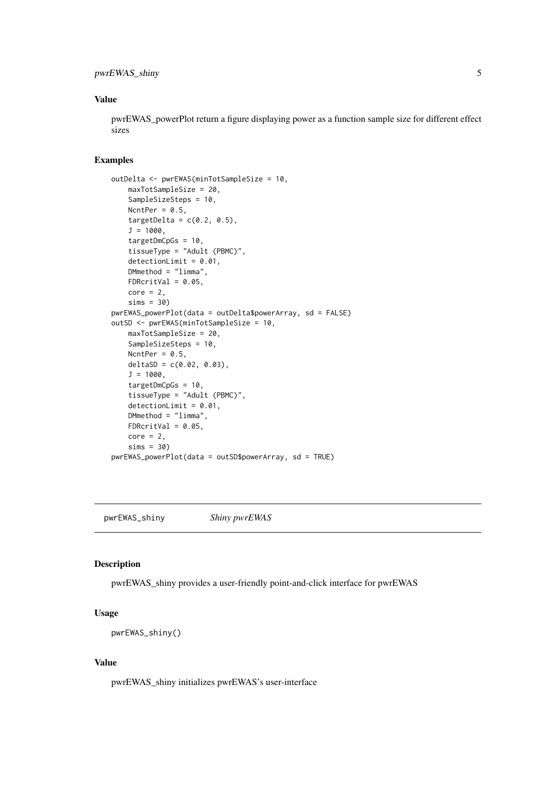#### <span id="page-4-0"></span>pwrEWAS\_shiny 5

#### Value

pwrEWAS\_powerPlot return a figure displaying power as a function sample size for different effect sizes

#### Examples

```
outDelta <- pwrEWAS(minTotSampleSize = 10,
    maxTotSampleSize = 20,
    SampleSizeSteps = 10,
   NcntPer = 0.5,
   targetDelta = c(0.2, 0.5),
   J = 1000,targetDmCpGs = 10,
   tissueType = "Adult (PBMC)",
   detectionLimit = 0.01,DMmethod = "limma",
   FDRcritVal = 0.05,
   core = 2,sims = 30pwrEWAS_powerPlot(data = outDelta$powerArray, sd = FALSE)
outSD <- pwrEWAS(minTotSampleSize = 10,
   maxTotSampleSize = 20,
   SampleSizeSteps = 10,
   NcntPer = 0.5,
   deltaSD = c(0.02, 0.03),
   J = 1000,
    targetDmCpGs = 10,
    tissueType = "Adult (PBMC)",
    detectionLimit = 0.01,DMmethod = "limma",
   FDRcritVal = 0.05,
   core = 2,
   sims = 30pwrEWAS_powerPlot(data = outSD$powerArray, sd = TRUE)
```
pwrEWAS\_shiny *Shiny pwrEWAS*

#### Description

pwrEWAS\_shiny provides a user-friendly point-and-click interface for pwrEWAS

#### Usage

pwrEWAS\_shiny()

#### Value

pwrEWAS\_shiny initializes pwrEWAS's user-interface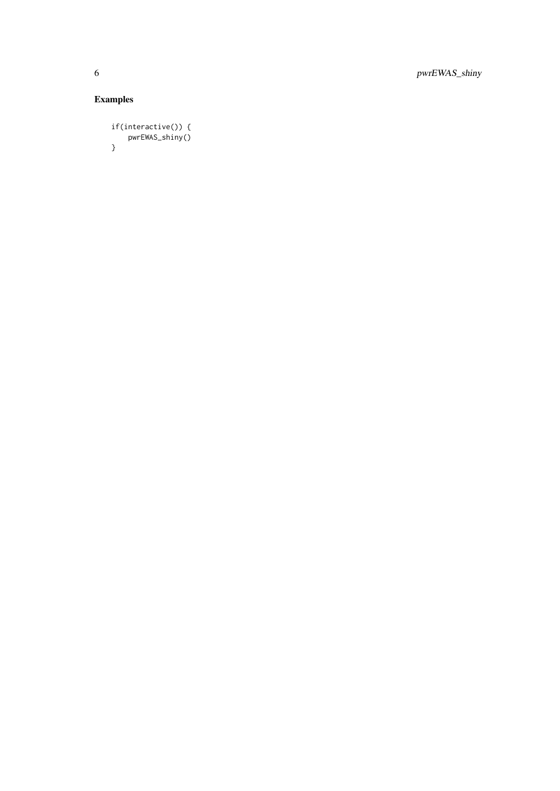6 pwrEWAS\_shiny

### Examples

```
if(interactive()) {
   pwrEWAS_shiny()
}
```